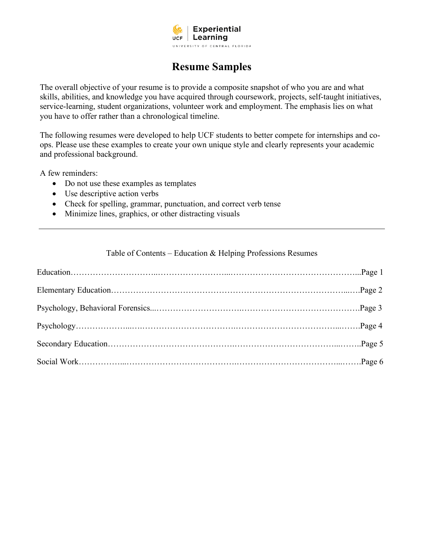

# **Resume Samples**

The overall objective of your resume is to provide a composite snapshot of who you are and what skills, abilities, and knowledge you have acquired through coursework, projects, self-taught initiatives, service-learning, student organizations, volunteer work and employment. The emphasis lies on what you have to offer rather than a chronological timeline.

The following resumes were developed to help UCF students to better compete for internships and coops. Please use these examples to create your own unique style and clearly represents your academic and professional background.

A few reminders:

- Do not use these examples as templates
- Use descriptive action verbs
- Check for spelling, grammar, punctuation, and correct verb tense
- Minimize lines, graphics, or other distracting visuals

#### Table of Contents – Education & Helping Professions Resumes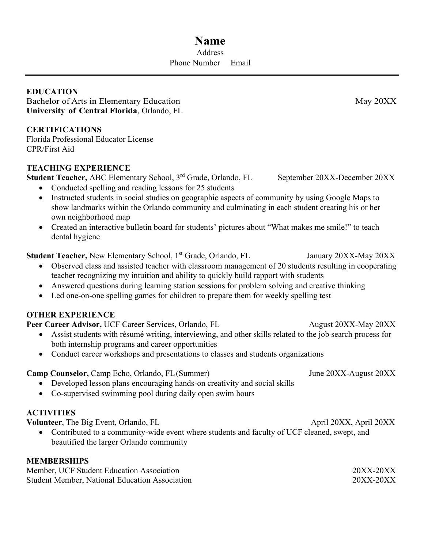# **Name Address** Phone Number Email

**EDUCATION** Bachelor of Arts in Elementary Education May 20XX **University of Central Florida**, Orlando, FL

# **CERTIFICATIONS**

Florida Professional Educator License CPR/First Aid

# **TEACHING EXPERIENCE**

**Student Teacher,** ABC Elementary School, 3<sup>rd</sup> Grade, Orlando, FL September 20XX-December 20XX

- Conducted spelling and reading lessons for 25 students
- Instructed students in social studies on geographic aspects of community by using Google Maps to show landmarks within the Orlando community and culminating in each student creating his or her own neighborhood map
- Created an interactive bulletin board for students' pictures about "What makes me smile!" to teach dental hygiene

# **Student Teacher,** New Elementary School, 1<sup>st</sup> Grade, Orlando, FL January 20XX-May 20XX

- Observed class and assisted teacher with classroom management of 20 students resulting in cooperating teacher recognizing my intuition and ability to quickly build rapport with students
- Answered questions during learning station sessions for problem solving and creative thinking
- Led one-on-one spelling games for children to prepare them for weekly spelling test

# **OTHER EXPERIENCE**

**Peer Career Advisor,** UCF Career Services, Orlando, FL August 20XX-May 20XX

- Assist students with résumé writing, interviewing, and other skills related to the job search process for both internship programs and career opportunities
- Conduct career workshops and presentations to classes and students organizations

**Camp Counselor,** Camp Echo, Orlando, FL(Summer) June 20XX-August 20XX

- Developed lesson plans encouraging hands-on creativity and social skills
- Co-supervised swimming pool during daily open swim hours

# **ACTIVITIES**

**Volunteer**, The Big Event, Orlando, FL April 20XX, April 20XX, April 20XX

• Contributed to a community-wide event where students and faculty of UCF cleaned, swept, and beautified the larger Orlando community

# **MEMBERSHIPS**

Member, UCF Student Education Association 20XX-20XX Student Member, National Education Association 20XX-20XX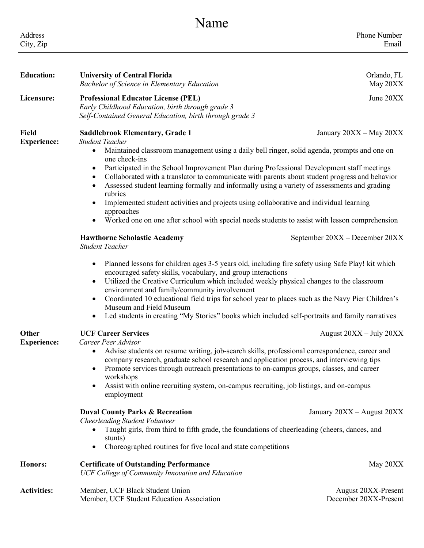| Name                        |                                                                                                                                                                                                                                                                                                                                                                                                                                                                                                                                                                                                                                                                                                                                                                                                                                                                                                                                                                                                                                                                                                                                                                                                                                                                                                                                       |                                                           |  |  |
|-----------------------------|---------------------------------------------------------------------------------------------------------------------------------------------------------------------------------------------------------------------------------------------------------------------------------------------------------------------------------------------------------------------------------------------------------------------------------------------------------------------------------------------------------------------------------------------------------------------------------------------------------------------------------------------------------------------------------------------------------------------------------------------------------------------------------------------------------------------------------------------------------------------------------------------------------------------------------------------------------------------------------------------------------------------------------------------------------------------------------------------------------------------------------------------------------------------------------------------------------------------------------------------------------------------------------------------------------------------------------------|-----------------------------------------------------------|--|--|
| Address<br>City, Zip        |                                                                                                                                                                                                                                                                                                                                                                                                                                                                                                                                                                                                                                                                                                                                                                                                                                                                                                                                                                                                                                                                                                                                                                                                                                                                                                                                       | Phone Number<br>Email                                     |  |  |
| <b>Education:</b>           | <b>University of Central Florida</b><br><b>Bachelor of Science in Elementary Education</b>                                                                                                                                                                                                                                                                                                                                                                                                                                                                                                                                                                                                                                                                                                                                                                                                                                                                                                                                                                                                                                                                                                                                                                                                                                            | Orlando, FL<br>May 20XX                                   |  |  |
| Licensure:                  | <b>Professional Educator License (PEL)</b><br>Early Childhood Education, birth through grade 3<br>Self-Contained General Education, birth through grade 3                                                                                                                                                                                                                                                                                                                                                                                                                                                                                                                                                                                                                                                                                                                                                                                                                                                                                                                                                                                                                                                                                                                                                                             | June 20XX                                                 |  |  |
| Field<br><b>Experience:</b> | <b>Saddlebrook Elementary, Grade 1</b><br><b>Student Teacher</b><br>Maintained classroom management using a daily bell ringer, solid agenda, prompts and one on<br>$\bullet$<br>one check-ins<br>Participated in the School Improvement Plan during Professional Development staff meetings<br>$\bullet$<br>Collaborated with a translator to communicate with parents about student progress and behavior<br>٠<br>Assessed student learning formally and informally using a variety of assessments and grading<br>$\bullet$<br>rubrics<br>Implemented student activities and projects using collaborative and individual learning<br>$\bullet$<br>approaches<br>Worked one on one after school with special needs students to assist with lesson comprehension<br>$\bullet$<br><b>Hawthorne Scholastic Academy</b><br><b>Student Teacher</b><br>Planned lessons for children ages 3-5 years old, including fire safety using Safe Play! kit which<br>$\bullet$<br>encouraged safety skills, vocabulary, and group interactions<br>Utilized the Creative Curriculum which included weekly physical changes to the classroom<br>$\bullet$<br>environment and family/community involvement<br>Coordinated 10 educational field trips for school year to places such as the Navy Pier Children's<br>$\bullet$<br>Museum and Field Museum | January 20XX - May 20XX<br>September 20XX - December 20XX |  |  |
| Other<br><b>Experience:</b> | Led students in creating "My Stories" books which included self-portraits and family narratives<br>٠<br><b>UCF Career Services</b><br>Career Peer Advisor<br>Advise students on resume writing, job-search skills, professional correspondence, career and<br>$\bullet$<br>company research, graduate school research and application process, and interviewing tips<br>Promote services through outreach presentations to on-campus groups, classes, and career<br>$\bullet$<br>workshops<br>Assist with online recruiting system, on-campus recruiting, job listings, and on-campus<br>$\bullet$<br>employment<br><b>Duval County Parks &amp; Recreation</b><br><b>Cheerleading Student Volunteer</b><br>Taught girls, from third to fifth grade, the foundations of cheerleading (cheers, dances, and                                                                                                                                                                                                                                                                                                                                                                                                                                                                                                                              | August 20XX - July 20XX<br>January 20XX - August 20XX     |  |  |
| <b>Honors:</b>              | stunts)<br>Choreographed routines for five local and state competitions<br>$\bullet$<br><b>Certificate of Outstanding Performance</b><br>UCF College of Community Innovation and Education                                                                                                                                                                                                                                                                                                                                                                                                                                                                                                                                                                                                                                                                                                                                                                                                                                                                                                                                                                                                                                                                                                                                            | May 20XX                                                  |  |  |
| <b>Activities:</b>          | Member, UCF Black Student Union<br>Member, UCF Student Education Association                                                                                                                                                                                                                                                                                                                                                                                                                                                                                                                                                                                                                                                                                                                                                                                                                                                                                                                                                                                                                                                                                                                                                                                                                                                          | August 20XX-Present<br>December 20XX-Present              |  |  |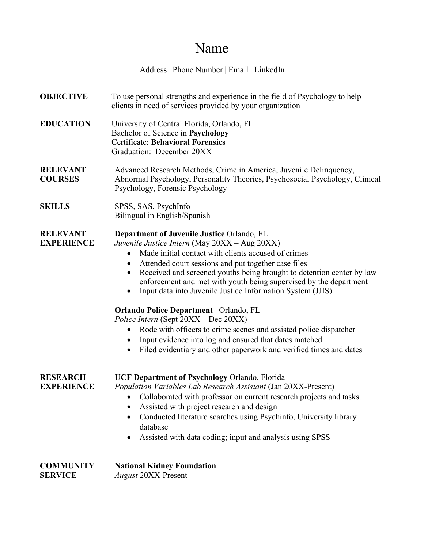# Name

Address | Phone Number | Email | LinkedIn

**OBJECTIVE** To use personal strengths and experience in the field of Psychology to help clients in need of services provided by your organization **EDUCATION** University of Central Florida, Orlando, FL Bachelor of Science in **Psychology** Certificate: **Behavioral Forensics** Graduation: December 20XX **RELEVANT** Advanced Research Methods, Crime in America, Juvenile Delinquency, **COURSES** Abnormal Psychology, Personality Theories, Psychosocial Psychology, Clinical Psychology, Forensic Psychology **SKILLS** SPSS, SAS, PsychInfo Bilingual in English/Spanish **RELEVANT Department of Juvenile Justice** Orlando, FL **EXPERIENCE** *Juvenile Justice Intern* (May 20XX – Aug 20XX) • Made initial contact with clients accused of crimes • Attended court sessions and put together case files • Received and screened youths being brought to detention center by law enforcement and met with youth being supervised by the department • Input data into Juvenile Justice Information System (JJIS) **Orlando Police Department** Orlando, FL *Police Intern* (Sept 20XX – Dec 20XX) • Rode with officers to crime scenes and assisted police dispatcher • Input evidence into log and ensured that dates matched • Filed evidentiary and other paperwork and verified times and dates **RESEARCH UCF Department of Psychology** Orlando, Florida **EXPERIENCE** *Population Variables Lab Research Assistant* (Jan 20XX-Present) • Collaborated with professor on current research projects and tasks. • Assisted with project research and design • Conducted literature searches using Psychinfo, University library database • Assisted with data coding; input and analysis using SPSS **COMMUNITY National Kidney Foundation SERVICE** *August* 20XX-Present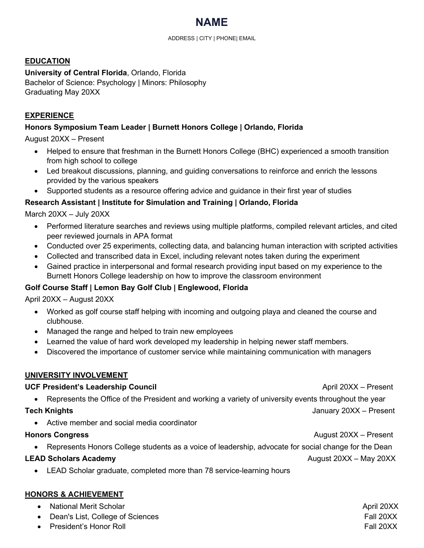

#### **EDUCATION**

**University of Central Florida**, Orlando, Florida Bachelor of Science: Psychology | Minors: Philosophy Graduating May 20XX

# **EXPERIENCE**

### **Honors Symposium Team Leader | Burnett Honors College | Orlando, Florida**

August 20XX – Present

- Helped to ensure that freshman in the Burnett Honors College (BHC) experienced a smooth transition from high school to college
- Led breakout discussions, planning, and guiding conversations to reinforce and enrich the lessons provided by the various speakers
- Supported students as a resource offering advice and guidance in their first year of studies

#### **Research Assistant | Institute for Simulation and Training | Orlando, Florida**

March 20XX – July 20XX

- Performed literature searches and reviews using multiple platforms, compiled relevant articles, and cited peer reviewed journals in APA format
- Conducted over 25 experiments, collecting data, and balancing human interaction with scripted activities
- Collected and transcribed data in Excel, including relevant notes taken during the experiment
- Gained practice in interpersonal and formal research providing input based on my experience to the Burnett Honors College leadership on how to improve the classroom environment

# **Golf Course Staff | Lemon Bay Golf Club | Englewood, Florida**

April 20XX – August 20XX

- Worked as golf course staff helping with incoming and outgoing playa and cleaned the course and clubhouse.
- Managed the range and helped to train new employees
- Learned the value of hard work developed my leadership in helping newer staff members.
- Discovered the importance of customer service while maintaining communication with managers

#### **UNIVERSITY INVOLVEMENT**

#### **UCF President's Leadership Council and April 20XX – Present April 20XX – Present April 20XX – Present April 20XX – Present April 20XX – Present April 20XX – Present April 20XX – Present April 20XX – Present April 20XX – P**

• Represents the Office of the President and working a variety of university events throughout the year

**Tech Knights** January 20XX – Present

• Active member and social media coordinator

#### **Honors Congress August 20XX** – Present

• Represents Honors College students as a voice of leadership, advocate for social change for the Dean

#### **LEAD Scholars Academy** August 20XX – May 20XX

• LEAD Scholar graduate, completed more than 78 service-learning hours

#### **HONORS & ACHIEVEMENT**

- extending the Mational Merit Scholar April 20XX and the Mational Merit Scholar April 20XX
- **Dean's List, College of Sciences Fall 20XX** Fall 20XX
- 
- example of the President's Honor Roll **Fall 20XX** Fall 20XX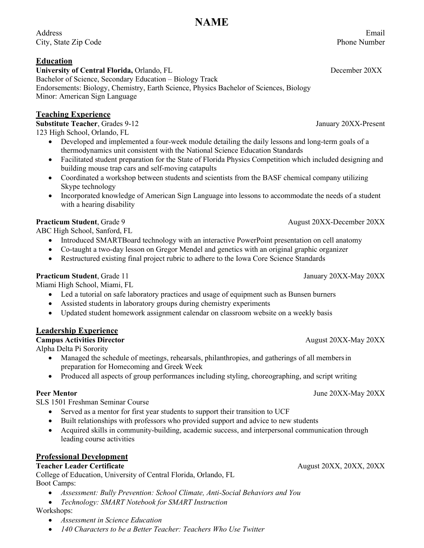Address [Email](mailto:annlanders@gmail.com) City, State Zip Code Phone Number

### **Education**

**University of Central Florida,** Orlando, FL December 20XX Bachelor of Science, Secondary Education – Biology Track Endorsements: Biology, Chemistry, Earth Science, Physics Bachelor of Sciences, Biology Minor: American Sign Language

# **Teaching Experience**

**Substitute Teacher**, Grades 9-12 **January 20XX-Present** 123 High School, Orlando, FL

- Developed and implemented a four-week module detailing the daily lessons and long-term goals of a thermodynamics unit consistent with the National Science Education Standards
- Facilitated student preparation for the State of Florida Physics Competition which included designing and building mouse trap cars and self-moving catapults
- Coordinated a workshop between students and scientists from the BASF chemical company utilizing Skype technology
- Incorporated knowledge of American Sign Language into lessons to accommodate the needs of a student with a hearing disability

ABC High School, Sanford, FL

- Introduced SMARTBoard technology with an interactive PowerPoint presentation on cell anatomy
- Co-taught a two-day lesson on Gregor Mendel and genetics with an original graphic organizer
- Restructured existing final project rubric to adhere to the Iowa Core Science Standards

#### **Practicum Student**, Grade 11 **January 20XX-May 20XX**

Miami High School, Miami, FL

- Led a tutorial on safe laboratory practices and usage of equipment such as Bunsen burners
- Assisted students in laboratory groups during chemistry experiments
- Updated student homework assignment calendar on classroom website on a weekly basis

# **Leadership Experience**

Alpha Delta Pi Sorority

- Managed the schedule of meetings, rehearsals, philanthropies, and gatherings of all membersin preparation for Homecoming and Greek Week
- Produced all aspects of group performances including styling, choreographing, and script writing

#### **Peer Mentor** June 20XX-May 20XX

SLS 1501 Freshman Seminar Course

- Served as a mentor for first year students to support their transition to UCF
- Built relationships with professors who provided support and advice to new students
- Acquired skills in community-building, academic success, and interpersonal communication through leading course activities

# **Professional Development**

#### **Teacher Leader Certificate** August 20XX, 20XX, 20XX, 20XX, 20XX, 20XX, 20XX, 20XX, 20XX, 20XX, 20XX

College of Education, University of Central Florida, Orlando, FL Boot Camps:

- *Assessment: Bully Prevention: School Climate, Anti-Social Behaviors and You*
- *Technology: SMART Notebook for SMART Instruction*

Workshops:

- *Assessment in Science Education*
- *140 Characters to be a Better Teacher: Teachers Who Use Twitter*

**Practicum Student**, Grade 9 **August 20XX-December 20XX** 

#### **Campus Activities Director** August 20XX-May 20XX